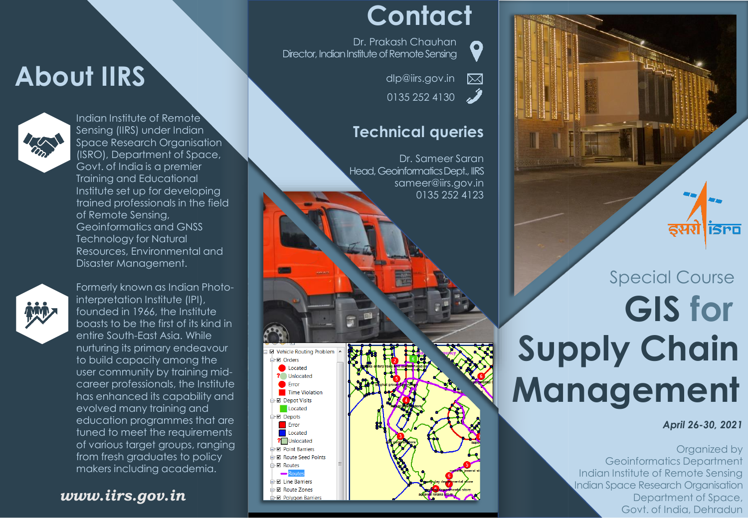## **About IIRS**



Indian Institute of Remote Sensing (IIRS) under Indian Space Research Organisation (ISRO), Department of Space, Govt. of India is a premier Training and Educational Institute set up for developing trained professionals in the field of Remote Sensing, Geoinformatics and GNSS Technology for Natural Resources, Environmental and Disaster Management.



Formerly known as Indian Photointerpretation Institute (IPI), founded in 1966, the Institute boasts to be the first of its kind in entire South-East Asia. While nurturing its primary endeavour to build capacity among the user community by training midcareer professionals, the Institute has enhanced its capability and evolved many training and education programmes that are tuned to meet the requirements of various target groups, ranging from fresh graduates to policy makers including academia.

#### *www.iirs.gov.in*

### **Contact**

Dr. Prakash Chauhan Director, Indian Institute of Remote Sensing

**Vehicle Routing Proble** -⊠ Orders Located ? Unlocated **C** Error Time Violation Depot Visits Located **⊠** Depots Error Located **?** Unlocated **■ Point Barriers E** Route Seed Points **⊠** Routes  $Rout$ -**Ø** Line Barriers **E** Route Zones **Ø** Polygon Barrier



0

#### **Technical queries**



# **GIS for Supply Chain Management** Special Course

*April 26-30, 2021*

**ISPO** 

Organized by Geoinformatics Department Indian Institute of Remote Sensing Indian Space Research Organisation Department of Space, Govt. of India, Dehradun